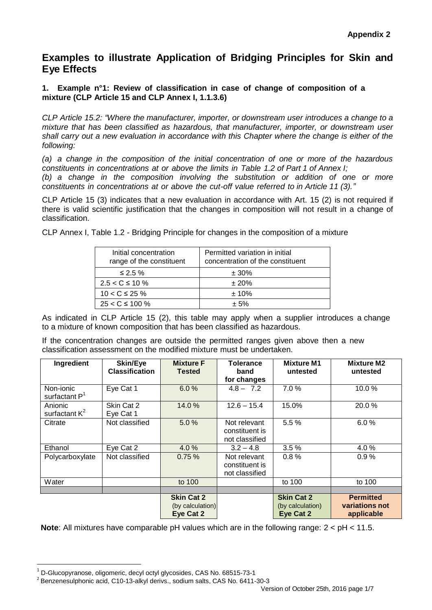# **Examples to illustrate Application of Bridging Principles for Skin and Eye Effects**

# **1. Example n°1: Review of classification in case of change of composition of a mixture (CLP Article 15 and CLP Annex I, 1.1.3.6)**

*CLP Article 15.2: "Where the manufacturer, importer, or downstream user introduces a change to a mixture that has been classified as hazardous, that manufacturer, importer, or downstream user shall carry out a new evaluation in accordance with this Chapter where the change is either of the following:*

*(a) a change in the composition of the initial concentration of one or more of the hazardous constituents in concentrations at or above the limits in Table 1.2 of Part 1 of Annex I; (b) a change in the composition involving the substitution or addition of one or more constituents in concentrations at or above the cut-off value referred to in Article 11 (3)."*

CLP Article 15 (3) indicates that a new evaluation in accordance with Art. 15 (2) is not required if there is valid scientific justification that the changes in composition will not result in a change of classification.

CLP Annex I, Table 1.2 - Bridging Principle for changes in the composition of a mixture

| Initial concentration<br>range of the constituent | Permitted variation in initial<br>concentration of the constituent |
|---------------------------------------------------|--------------------------------------------------------------------|
| ≤ 2.5 $%$                                         | $± 30\%$                                                           |
| $2.5 < C \le 10 \%$                               | ± 20%                                                              |
| $10 < C \le 25 \%$                                | $± 10\%$                                                           |
| $25 < C \le 100 \%$                               | $+5%$                                                              |

As indicated in CLP Article 15 (2), this table may apply when a supplier introduces a change to a mixture of known composition that has been classified as hazardous.

If the concentration changes are outside the permitted ranges given above then a new classification assessment on the modified mixture must be undertaken.

| Ingredient                   | Skin/Eye<br><b>Classification</b> | <b>Mixture F</b><br>Tested                         | Tolerance<br>band<br>for changes                 | <b>Mixture M1</b><br>untested                      | <b>Mixture M2</b><br>untested                    |
|------------------------------|-----------------------------------|----------------------------------------------------|--------------------------------------------------|----------------------------------------------------|--------------------------------------------------|
| Non-ionic<br>surfactant $P1$ | Eye Cat 1                         | 6.0%                                               | $4.8 - 7.2$                                      | 7.0%                                               | 10.0%                                            |
| Anionic<br>surfactant $K^2$  | Skin Cat 2<br>Eye Cat 1           | 14.0%                                              | $12.6 - 15.4$                                    | 15.0%                                              | 20.0%                                            |
| Citrate                      | Not classified                    | 5.0%                                               | Not relevant<br>constituent is<br>not classified | 5.5%                                               | 6.0%                                             |
| Ethanol                      | Eye Cat 2                         | 4.0 %                                              | $3.2 - 4.8$                                      | 3.5%                                               | 4.0%                                             |
| Polycarboxylate              | Not classified                    | 0.75%                                              | Not relevant<br>constituent is<br>not classified | 0.8%                                               | 0.9%                                             |
| Water                        |                                   | to 100                                             |                                                  | to 100                                             | to 100                                           |
|                              |                                   |                                                    |                                                  |                                                    |                                                  |
|                              |                                   | <b>Skin Cat 2</b><br>(by calculation)<br>Eye Cat 2 |                                                  | <b>Skin Cat 2</b><br>(by calculation)<br>Eye Cat 2 | <b>Permitted</b><br>variations not<br>applicable |

**Note**: All mixtures have comparable pH values which are in the following range: 2 < pH < 11.5.

**.** 

 $<sup>1</sup>$  D-Glucopyranose, oligomeric, decyl octyl glycosides, CAS No. 68515-73-1</sup>

<sup>&</sup>lt;sup>2</sup> Benzenesulphonic acid, C10-13-alkyl derivs., sodium salts, CAS No. 6411-30-3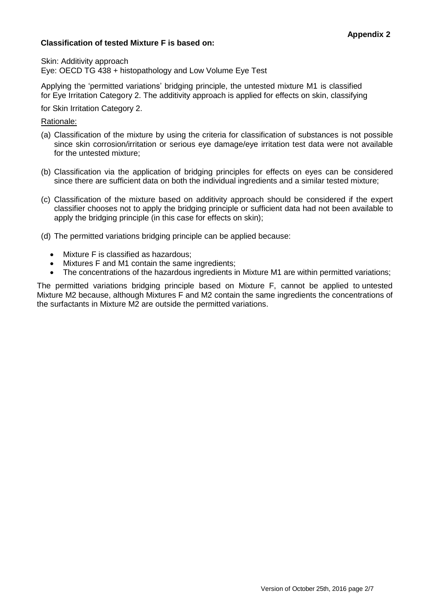# **Classification of tested Mixture F is based on:**

Skin: Additivity approach

Eye: OECD TG 438 + histopathology and Low Volume Eye Test

Applying the 'permitted variations' bridging principle, the untested mixture M1 is classified for Eye Irritation Category 2. The additivity approach is applied for effects on skin, classifying

for Skin Irritation Category 2.

#### Rationale:

- (a) Classification of the mixture by using the criteria for classification of substances is not possible since skin corrosion/irritation or serious eye damage/eye irritation test data were not available for the untested mixture;
- (b) Classification via the application of bridging principles for effects on eyes can be considered since there are sufficient data on both the individual ingredients and a similar tested mixture;
- (c) Classification of the mixture based on additivity approach should be considered if the expert classifier chooses not to apply the bridging principle or sufficient data had not been available to apply the bridging principle (in this case for effects on skin);
- (d) The permitted variations bridging principle can be applied because:
	- Mixture F is classified as hazardous;
	- Mixtures F and M1 contain the same ingredients;
	- The concentrations of the hazardous ingredients in Mixture M1 are within permitted variations;

The permitted variations bridging principle based on Mixture F, cannot be applied to untested Mixture M2 because, although Mixtures F and M2 contain the same ingredients the concentrations of the surfactants in Mixture M2 are outside the permitted variations.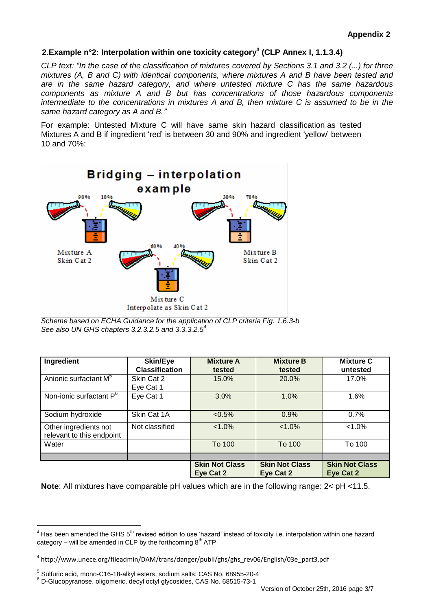# **2.Example n°2: Interpolation within one toxicity category<sup>3</sup> (CLP Annex I, 1.1.3.4)**

*CLP text: "In the case of the classification of mixtures covered by Sections 3.1 and 3.2 (...) for three mixtures (A, B and C) with identical components, where mixtures A and B have been tested and are in the same hazard category, and where untested mixture C has the same hazardous components as mixture A and B but has concentrations of those hazardous components intermediate to the concentrations in mixtures A and B, then mixture C is assumed to be in the same hazard category as A and B."*

For example: Untested Mixture C will have same skin hazard classification as tested Mixtures A and B if ingredient 'red' is between 30 and 90% and ingredient 'yellow' between 10 and 70%:



*Scheme based on ECHA Guidance for the application of CLP criteria Fig. 1.6.3-b See also UN GHS chapters 3.2.3.2.5 and 3.3.3.2.5<sup>4</sup>*

| Ingredient                                         | Skin/Eye<br><b>Classification</b> | <b>Mixture A</b><br>tested         | <b>Mixture B</b><br>tested         | <b>Mixture C</b><br>untested       |
|----------------------------------------------------|-----------------------------------|------------------------------------|------------------------------------|------------------------------------|
| Anionic surfactant M <sup>5</sup>                  | Skin Cat 2<br>Eye Cat 1           | 15.0%                              | 20.0%                              | 17.0%                              |
| Non-ionic surfactant P <sup>6</sup>                | Eye Cat 1                         | 3.0%                               | 1.0%                               | 1.6%                               |
| Sodium hydroxide                                   | Skin Cat 1A                       | $< 0.5\%$                          | 0.9%                               | 0.7%                               |
| Other ingredients not<br>relevant to this endpoint | Not classified                    | $< 1.0\%$                          | $< 1.0\%$                          | $< 1.0\%$                          |
| Water                                              |                                   | To 100                             | To 100                             | To 100                             |
|                                                    |                                   |                                    |                                    |                                    |
|                                                    |                                   | <b>Skin Not Class</b><br>Eye Cat 2 | <b>Skin Not Class</b><br>Eye Cat 2 | <b>Skin Not Class</b><br>Eye Cat 2 |

**Note**: All mixtures have comparable pH values which are in the following range: 2< pH <11.5.

-

 $3$  Has been amended the GHS  $5^{\text{th}}$  revised edition to use 'hazard' instead of toxicity i.e. interpolation within one hazard category – will be amended in CLP by the forthcoming  $8<sup>th</sup> ATP$ 

<sup>4</sup> http://www.unece.org/fileadmin/DAM/trans/danger/publi/ghs/ghs\_rev06/English/03e\_part3.pdf

<sup>5</sup> Sulfuric acid, mono-C16-18-alkyl esters, sodium salts; CAS No. 68955-20-4

 $6$  D-Glucopyranose, oligomeric, decyl octyl glycosides, CAS No. 68515-73-1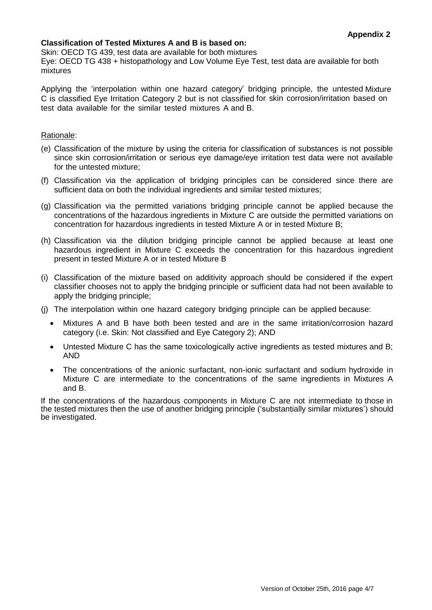# **Classification of Tested Mixtures A and B is based on:**

Skin: OECD TG 439, test data are available for both mixtures

Eye: OECD TG 438 + histopathology and Low Volume Eye Test, test data are available for both mixtures

Applying the 'interpolation within one hazard category' bridging principle, the untested Mixture C is classified Eye Irritation Category 2 but is not classified for skin corrosion/irritation based on test data available for the similar tested mixtures A and B.

#### Rationale:

- (e) Classification of the mixture by using the criteria for classification of substances is not possible since skin corrosion/irritation or serious eye damage/eye irritation test data were not available for the untested mixture;
- (f) Classification via the application of bridging principles can be considered since there are sufficient data on both the individual ingredients and similar tested mixtures;
- (g) Classification via the permitted variations bridging principle cannot be applied because the concentrations of the hazardous ingredients in Mixture C are outside the permitted variations on concentration for hazardous ingredients in tested Mixture A or in tested Mixture B;
- (h) Classification via the dilution bridging principle cannot be applied because at least one hazardous ingredient in Mixture C exceeds the concentration for this hazardous ingredient present in tested Mixture A or in tested Mixture B
- (i) Classification of the mixture based on additivity approach should be considered if the expert classifier chooses not to apply the bridging principle or sufficient data had not been available to apply the bridging principle;
- (j) The interpolation within one hazard category bridging principle can be applied because:
	- Mixtures A and B have both been tested and are in the same irritation/corrosion hazard category (i.e. Skin: Not classified and Eye Category 2); AND
	- Untested Mixture C has the same toxicologically active ingredients as tested mixtures and B; AND
	- The concentrations of the anionic surfactant, non-ionic surfactant and sodium hydroxide in Mixture C are intermediate to the concentrations of the same ingredients in Mixtures A and B.

If the concentrations of the hazardous components in Mixture C are not intermediate to those in the tested mixtures then the use of another bridging principle ('substantially similar mixtures') should be investigated.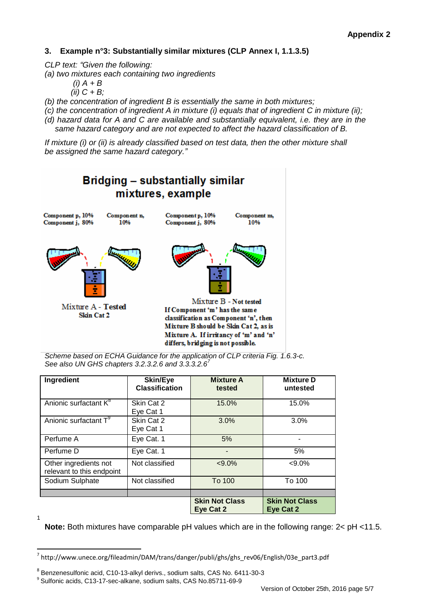# **3. Example n°3: Substantially similar mixtures (CLP Annex I, 1.1.3.5)**

*CLP text: "Given the following:*

- *(a) two mixtures each containing two ingredients*
	- $(i)$   $A + B$
	- *(ii) C + B;*
- *(b) the concentration of ingredient B is essentially the same in both mixtures;*
- *(c) the concentration of ingredient A in mixture (i) equals that of ingredient C in mixture (ii);*
- *(d) hazard data for A and C are available and substantially equivalent, i.e. they are in the same hazard category and are not expected to affect the hazard classification of B.*

*If mixture (i) or (ii) is already classified based on test data, then the other mixture shall be assigned the same hazard category."*



*Scheme based on ECHA Guidance for the application of CLP criteria Fig. 1.6.3-c. See also UN GHS chapters 3.2.3.2.6 and 3.3.3.2.6<sup>7</sup>*

| Ingredient                                         | <b>Skin/Eye</b><br><b>Classification</b> | <b>Mixture A</b><br>tested         | <b>Mixture D</b><br>untested       |
|----------------------------------------------------|------------------------------------------|------------------------------------|------------------------------------|
| Anionic surfactant K <sup>8</sup>                  | Skin Cat 2<br>Eye Cat 1                  | 15.0%                              | 15.0%                              |
| Anionic surfactant T <sup>9</sup>                  | Skin Cat 2<br>Eye Cat 1                  | 3.0%                               | 3.0%                               |
| Perfume A                                          | Eye Cat. 1                               | 5%                                 |                                    |
| Perfume D                                          | Eye Cat. 1                               |                                    | 5%                                 |
| Other ingredients not<br>relevant to this endpoint | Not classified                           | $< 9.0\%$                          | $< 9.0\%$                          |
| Sodium Sulphate                                    | Not classified                           | To 100                             | To 100                             |
|                                                    |                                          |                                    |                                    |
|                                                    |                                          | <b>Skin Not Class</b><br>Eye Cat 2 | <b>Skin Not Class</b><br>Eye Cat 2 |

**Note:** Both mixtures have comparable pH values which are in the following range: 2< pH <11.5.

1

**.** 

<sup>7</sup> http://www.unece.org/fileadmin/DAM/trans/danger/publi/ghs/ghs\_rev06/English/03e\_part3.pdf

<sup>8</sup> Benzenesulfonic acid, C10-13-alkyl derivs., sodium salts, CAS No. 6411-30-3

<sup>9</sup> Sulfonic acids, C13-17-sec-alkane, sodium salts, CAS No.85711-69-9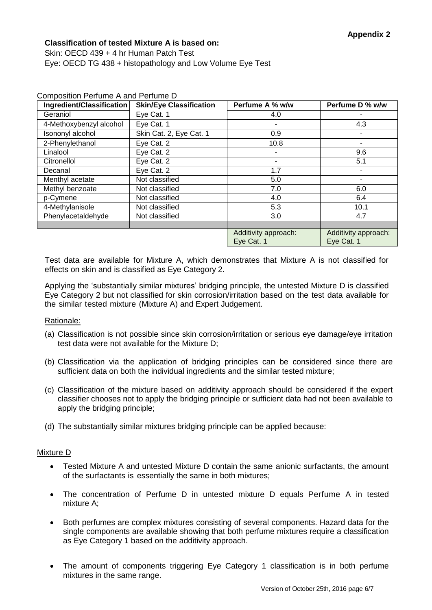# **Classification of tested Mixture A is based on:**

Composition Perfume A and Perfume D

Skin: OECD 439 + 4 hr Human Patch Test Eye: OECD TG 438 + histopathology and Low Volume Eye Test

| Ingredient/Classification | <b>Skin/Eye Classification</b> | Perfume A % w/w      | Perfume D % w/w      |
|---------------------------|--------------------------------|----------------------|----------------------|
| Geraniol                  | Eye Cat. 1                     | 4.0                  |                      |
| 4-Methoxybenzyl alcohol   | Eye Cat. 1                     |                      | 4.3                  |
| Isononyl alcohol          | Skin Cat. 2, Eye Cat. 1        | 0.9                  |                      |
| 2-Phenylethanol           | Eye Cat. 2                     | 10.8                 |                      |
| Linalool                  | Eye Cat. 2                     |                      | 9.6                  |
| Citronellol               | Eye Cat. 2                     | ۰                    | 5.1                  |
| Decanal                   | Eye Cat. 2                     | 1.7                  |                      |
| Menthyl acetate           | Not classified                 | 5.0                  |                      |
| Methyl benzoate           | Not classified                 | 7.0                  | 6.0                  |
| p-Cymene                  | Not classified                 | 4.0                  | 6.4                  |
| 4-Methylanisole           | Not classified                 | 5.3                  | 10.1                 |
| Phenylacetaldehyde        | Not classified                 | 3.0                  | 4.7                  |
|                           |                                |                      |                      |
|                           |                                | Additivity approach: | Additivity approach: |
|                           |                                | Eye Cat. 1           | Eye Cat. 1           |

Test data are available for Mixture A, which demonstrates that Mixture A is not classified for effects on skin and is classified as Eye Category 2.

Applying the 'substantially similar mixtures' bridging principle, the untested Mixture D is classified Eye Category 2 but not classified for skin corrosion/irritation based on the test data available for the similar tested mixture (Mixture A) and Expert Judgement.

# Rationale:

- (a) Classification is not possible since skin corrosion/irritation or serious eye damage/eye irritation test data were not available for the Mixture D;
- (b) Classification via the application of bridging principles can be considered since there are sufficient data on both the individual ingredients and the similar tested mixture;
- (c) Classification of the mixture based on additivity approach should be considered if the expert classifier chooses not to apply the bridging principle or sufficient data had not been available to apply the bridging principle;
- (d) The substantially similar mixtures bridging principle can be applied because:

#### Mixture D

- Tested Mixture A and untested Mixture D contain the same anionic surfactants, the amount of the surfactants is essentially the same in both mixtures;
- The concentration of Perfume D in untested mixture D equals Perfume A in tested mixture A;
- Both perfumes are complex mixtures consisting of several components. Hazard data for the single components are available showing that both perfume mixtures require a classification as Eye Category 1 based on the additivity approach.
- The amount of components triggering Eye Category 1 classification is in both perfume mixtures in the same range.